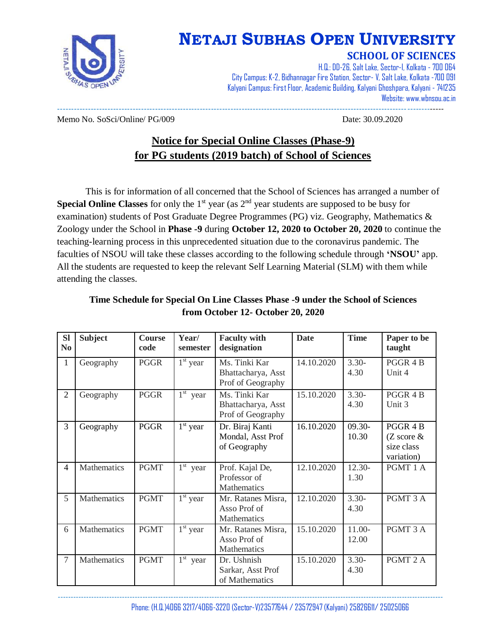

# **NETAJI SUBHAS OPEN UNIVERSITY**

### **SCHOOL OF SCIENCES**

H.Q.: DD-26, Salt Lake, Sector-I, Kolkata - 700 064 City Campus: K-2, Bidhannagar Fire Station, Sector- V, Salt Lake, Kolkata -700 091 Kalyani Campus: First Floor, Academic Building, Kalyani Ghoshpara, Kalyani - 741235 Website: www.wbnsou.ac.in ------------------------------------------------------------------------------------------------------------------------------------------

Memo No. SoSci/Online/ PG/009 Date: 30.09.2020

## **Notice for Special Online Classes (Phase-9) for PG students (2019 batch) of School of Sciences**

This is for information of all concerned that the School of Sciences has arranged a number of **Special Online Classes** for only the 1<sup>st</sup> year (as 2<sup>nd</sup> year students are supposed to be busy for examination) students of Post Graduate Degree Programmes (PG) viz. Geography, Mathematics & Zoology under the School in **Phase -9** during **October 12, 2020 to October 20, 2020** to continue the teaching-learning process in this unprecedented situation due to the coronavirus pandemic. The faculties of NSOU will take these classes according to the following schedule through **'NSOU'** app. All the students are requested to keep the relevant Self Learning Material (SLM) with them while attending the classes.

| <b>SI</b><br>N <sub>0</sub> | <b>Subject</b> | <b>Course</b><br>code | Year/<br>semester    | <b>Faculty with</b><br>designation                                     | <b>Date</b> | <b>Time</b>       | Paper to be<br>taught                                            |
|-----------------------------|----------------|-----------------------|----------------------|------------------------------------------------------------------------|-------------|-------------------|------------------------------------------------------------------|
| $\mathbf{1}$                | Geography      | <b>PGGR</b>           | $1st$ year           | $\overline{M}$ s. Tinki Kar<br>Bhattacharya, Asst<br>Prof of Geography | 14.10.2020  | $3.30-$<br>4.30   | PGGR 4 B<br>Unit 4                                               |
| $\overline{2}$              | Geography      | <b>PGGR</b>           | $1^{\rm st}$<br>year | Ms. Tinki Kar<br>Bhattacharya, Asst<br>Prof of Geography               | 15.10.2020  | $3.30-$<br>4.30   | PGGR 4 B<br>Unit 3                                               |
| 3                           | Geography      | <b>PGGR</b>           | $1st$ year           | Dr. Biraj Kanti<br>Mondal, Asst Prof<br>of Geography                   | 16.10.2020  | 09.30-<br>10.30   | PGGR 4 B<br>$(Z \text{ score } \& )$<br>size class<br>variation) |
| $\overline{4}$              | Mathematics    | <b>PGMT</b>           | $1st$ year           | Prof. Kajal De,<br>Professor of<br>Mathematics                         | 12.10.2020  | 12.30-<br>1.30    | PGMT 1 A                                                         |
| 5                           | Mathematics    | <b>PGMT</b>           | $1st$ year           | Mr. Ratanes Misra,<br>Asso Prof of<br>Mathematics                      | 12.10.2020  | $3.30-$<br>4.30   | PGMT 3 A                                                         |
| 6                           | Mathematics    | <b>PGMT</b>           | $1st$ year           | Mr. Ratanes Misra,<br>Asso Prof of<br>Mathematics                      | 15.10.2020  | $11.00-$<br>12.00 | PGMT 3 A                                                         |
| $\overline{7}$              | Mathematics    | <b>PGMT</b>           | $1st$ year           | Dr. Ushnish<br>Sarkar, Asst Prof<br>of Mathematics                     | 15.10.2020  | $3.30-$<br>4.30   | PGMT 2 A                                                         |

#### **Time Schedule for Special On Line Classes Phase -9 under the School of Sciences from October 12- October 20, 2020**